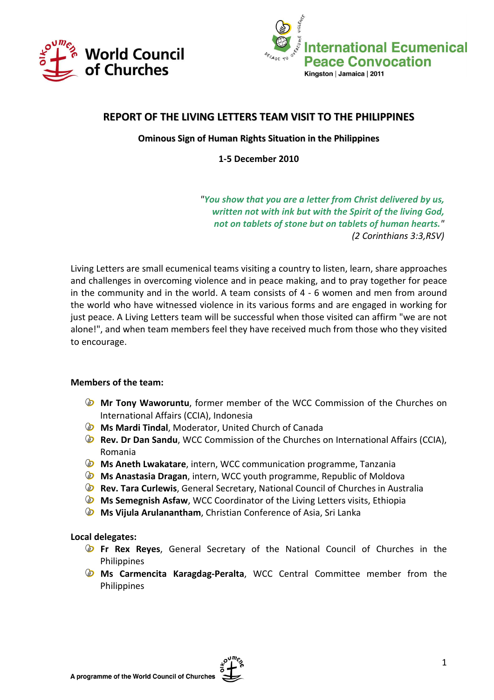



# REPORT OF THE LIVING LETTERS TEAM VISIT TO THE PHILIPPINES

### Ominous Sign of Human Rights Situation in the Philippines

1-5 December 2010

"You show that you are a letter from Christ delivered by us, written not with ink but with the Spirit of the living God, not on tablets of stone but on tablets of human hearts." (2 Corinthians 3:3,RSV)

Living Letters are small ecumenical teams visiting a country to listen, learn, share approaches and challenges in overcoming violence and in peace making, and to pray together for peace in the community and in the world. A team consists of 4 - 6 women and men from around the world who have witnessed violence in its various forms and are engaged in working for just peace. A Living Letters team will be successful when those visited can affirm "we are not alone!", and when team members feel they have received much from those who they visited to encourage.

#### Members of the team:

- Mr Tony Waworuntu, former member of the WCC Commission of the Churches on International Affairs (CCIA), Indonesia
- **S** Ms Mardi Tindal, Moderator, United Church of Canada
- **B** Rev. Dr Dan Sandu, WCC Commission of the Churches on International Affairs (CCIA), Romania
- **S** Ms Aneth Lwakatare, intern, WCC communication programme, Tanzania
- **S** Ms Anastasia Dragan, intern, WCC youth programme, Republic of Moldova
- Rev. Tara Curlewis, General Secretary, National Council of Churches in Australia
- **ID Ms Semegnish Asfaw, WCC Coordinator of the Living Letters visits, Ethiopia**
- **&** Ms Vijula Arulanantham, Christian Conference of Asia, Sri Lanka

#### Local delegates:

- **Fr Rex Reyes,** General Secretary of the National Council of Churches in the **Philippines**
- **ID Ms Carmencita Karagdag-Peralta**, WCC Central Committee member from the Philippines

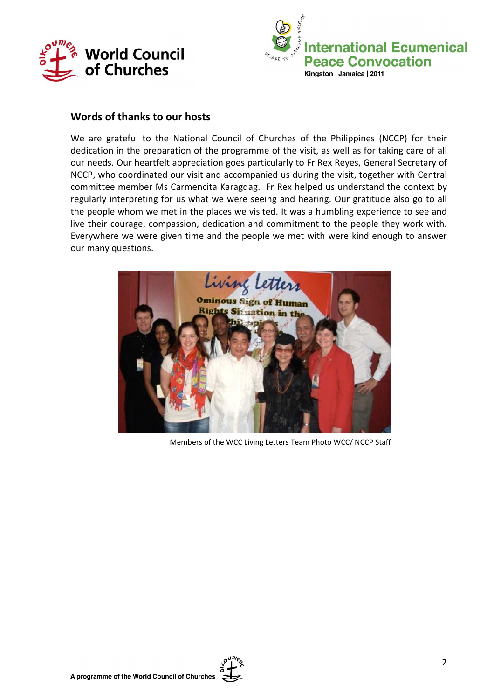



# Words of thanks to our hosts

We are grateful to the National Council of Churches of the Philippines (NCCP) for their dedication in the preparation of the programme of the visit, as well as for taking care of all our needs. Our heartfelt appreciation goes particularly to Fr Rex Reyes, General Secretary of NCCP, who coordinated our visit and accompanied us during the visit, together with Central committee member Ms Carmencita Karagdag. Fr Rex helped us understand the context by regularly interpreting for us what we were seeing and hearing. Our gratitude also go to all the people whom we met in the places we visited. It was a humbling experience to see and live their courage, compassion, dedication and commitment to the people they work with. Everywhere we were given time and the people we met with were kind enough to answer our many questions.



Members of the WCC Living Letters Team Photo WCC/ NCCP Staff

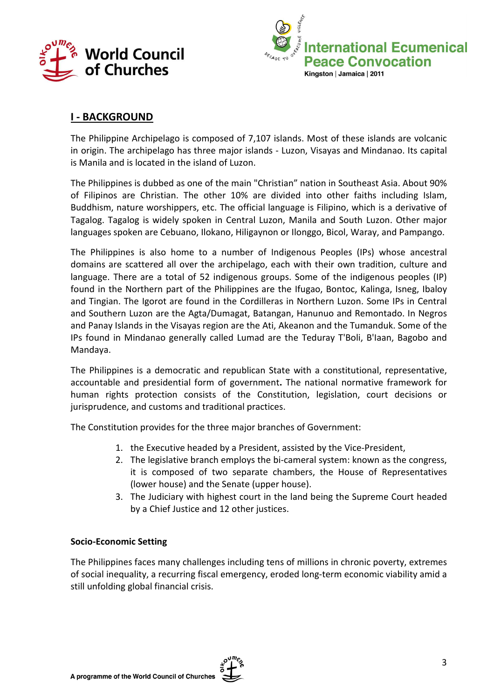



# I - BACKGROUND

The Philippine Archipelago is composed of 7,107 islands. Most of these islands are volcanic in origin. The archipelago has three major islands - Luzon, Visayas and Mindanao. Its capital is Manila and is located in the island of Luzon.

The Philippines is dubbed as one of the main "Christian" nation in Southeast Asia. About 90% of Filipinos are Christian. The other 10% are divided into other faiths including Islam, Buddhism, nature worshippers, etc. The official language is Filipino, which is a derivative of Tagalog. Tagalog is widely spoken in Central Luzon, Manila and South Luzon. Other major languages spoken are Cebuano, Ilokano, Hiligaynon or Ilonggo, Bicol, Waray, and Pampango.

The Philippines is also home to a number of Indigenous Peoples (IPs) whose ancestral domains are scattered all over the archipelago, each with their own tradition, culture and language. There are a total of 52 indigenous groups. Some of the indigenous peoples (IP) found in the Northern part of the Philippines are the Ifugao, Bontoc, Kalinga, Isneg, Ibaloy and Tingian. The Igorot are found in the Cordilleras in Northern Luzon. Some IPs in Central and Southern Luzon are the Agta/Dumagat, Batangan, Hanunuo and Remontado. In Negros and Panay Islands in the Visayas region are the Ati, Akeanon and the Tumanduk. Some of the IPs found in Mindanao generally called Lumad are the Teduray T'Boli, B'Iaan, Bagobo and Mandaya.

The Philippines is a democratic and republican State with a constitutional, representative, accountable and presidential form of government. The national normative framework for human rights protection consists of the Constitution, legislation, court decisions or jurisprudence, and customs and traditional practices.

The Constitution provides for the three major branches of Government:

- 1. the Executive headed by a President, assisted by the Vice-President,
- 2. The legislative branch employs the bi-cameral system: known as the congress, it is composed of two separate chambers, the House of Representatives (lower house) and the Senate (upper house).
- 3. The Judiciary with highest court in the land being the Supreme Court headed by a Chief Justice and 12 other justices.

#### Socio-Economic Setting

The Philippines faces many challenges including tens of millions in chronic poverty, extremes of social inequality, a recurring fiscal emergency, eroded long-term economic viability amid a still unfolding global financial crisis.

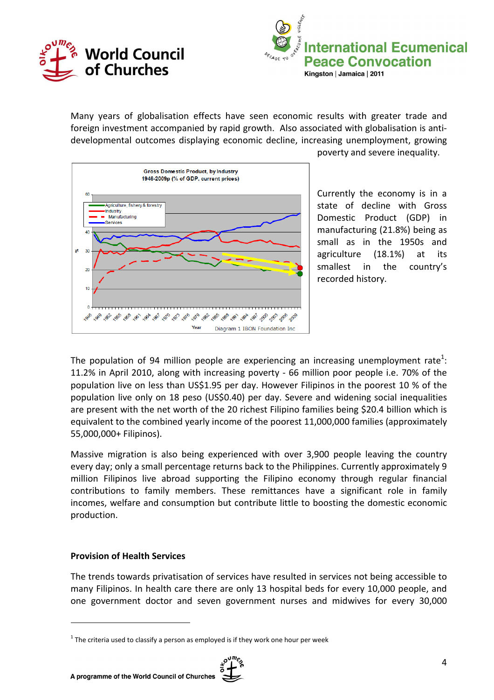



Many years of globalisation effects have seen economic results with greater trade and foreign investment accompanied by rapid growth. Also associated with globalisation is antidevelopmental outcomes displaying economic decline, increasing unemployment, growing



poverty and severe inequality.

Currently the economy is in a state of decline with Gross Domestic Product (GDP) in manufacturing (21.8%) being as small as in the 1950s and agriculture (18.1%) at its smallest in the country's recorded history.

The population of 94 million people are experiencing an increasing unemployment rate<sup>1</sup>: 11.2% in April 2010, along with increasing poverty - 66 million poor people i.e. 70% of the population live on less than US\$1.95 per day. However Filipinos in the poorest 10 % of the population live only on 18 peso (US\$0.40) per day. Severe and widening social inequalities are present with the net worth of the 20 richest Filipino families being \$20.4 billion which is equivalent to the combined yearly income of the poorest 11,000,000 families (approximately 55,000,000+ Filipinos).

Massive migration is also being experienced with over 3,900 people leaving the country every day; only a small percentage returns back to the Philippines. Currently approximately 9 million Filipinos live abroad supporting the Filipino economy through regular financial contributions to family members. These remittances have a significant role in family incomes, welfare and consumption but contribute little to boosting the domestic economic production.

#### Provision of Health Services

 $\overline{a}$ 

The trends towards privatisation of services have resulted in services not being accessible to many Filipinos. In health care there are only 13 hospital beds for every 10,000 people, and one government doctor and seven government nurses and midwives for every 30,000

 $1$  The criteria used to classify a person as employed is if they work one hour per week

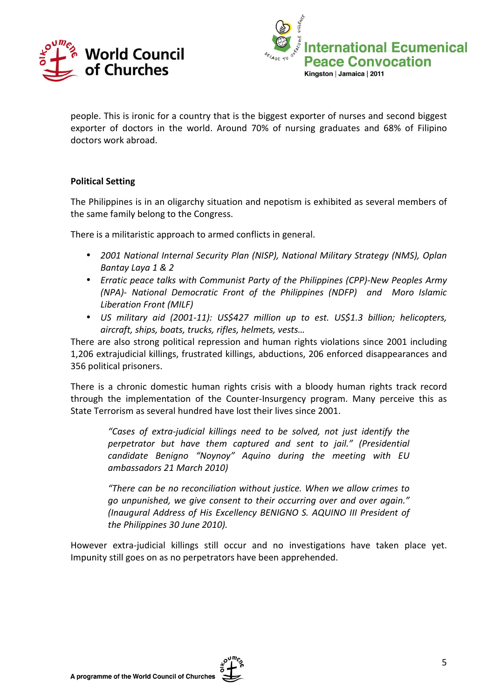



people. This is ironic for a country that is the biggest exporter of nurses and second biggest exporter of doctors in the world. Around 70% of nursing graduates and 68% of Filipino doctors work abroad.

### Political Setting

The Philippines is in an oligarchy situation and nepotism is exhibited as several members of the same family belong to the Congress.

There is a militaristic approach to armed conflicts in general.

- 2001 National Internal Security Plan (NISP), National Military Strategy (NMS), Oplan Bantay Laya 1 & 2
- Erratic peace talks with Communist Party of the Philippines (CPP)-New Peoples Army (NPA)- National Democratic Front of the Philippines (NDFP) and Moro Islamic Liberation Front (MILF)
- US military aid (2001-11): US\$427 million up to est. US\$1.3 billion; helicopters, aircraft, ships, boats, trucks, rifles, helmets, vests…

There are also strong political repression and human rights violations since 2001 including 1,206 extrajudicial killings, frustrated killings, abductions, 206 enforced disappearances and 356 political prisoners.

There is a chronic domestic human rights crisis with a bloody human rights track record through the implementation of the Counter-Insurgency program. Many perceive this as State Terrorism as several hundred have lost their lives since 2001.

"Cases of extra-judicial killings need to be solved, not just identify the perpetrator but have them captured and sent to jail." (Presidential candidate Benigno "Noynoy" Aquino during the meeting with EU ambassadors 21 March 2010)

"There can be no reconciliation without justice. When we allow crimes to go unpunished, we give consent to their occurring over and over again." (Inaugural Address of His Excellency BENIGNO S. AQUINO III President of the Philippines 30 June 2010).

However extra-judicial killings still occur and no investigations have taken place yet. Impunity still goes on as no perpetrators have been apprehended.

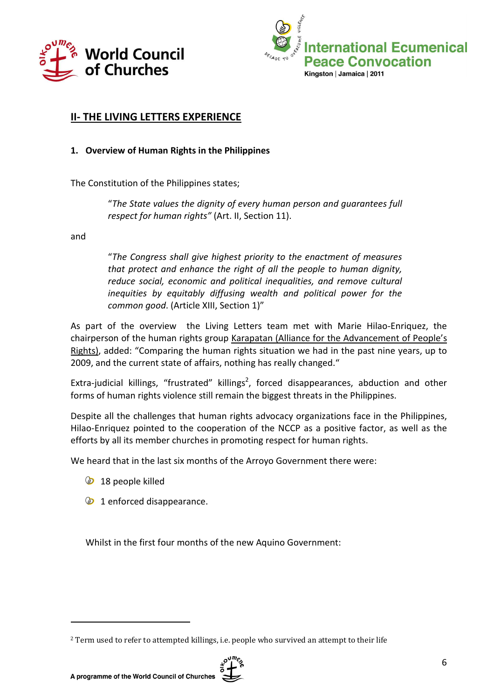



# II- THE LIVING LETTERS EXPERIENCE

### 1. Overview of Human Rights in the Philippines

The Constitution of the Philippines states;

"The State values the dignity of every human person and guarantees full respect for human rights" (Art. II, Section 11).

and

"The Congress shall give highest priority to the enactment of measures that protect and enhance the right of all the people to human dignity, reduce social, economic and political inequalities, and remove cultural inequities by equitably diffusing wealth and political power for the common good. (Article XIII, Section 1)"

As part of the overview the Living Letters team met with Marie Hilao-Enriquez, the chairperson of the human rights group Karapatan (Alliance for the Advancement of People's Rights), added: "Comparing the human rights situation we had in the past nine years, up to 2009, and the current state of affairs, nothing has really changed."

Extra-judicial killings, "frustrated" killings<sup>2</sup>, forced disappearances, abduction and other forms of human rights violence still remain the biggest threats in the Philippines.

Despite all the challenges that human rights advocacy organizations face in the Philippines, Hilao-Enriquez pointed to the cooperation of the NCCP as a positive factor, as well as the efforts by all its member churches in promoting respect for human rights.

We heard that in the last six months of the Arroyo Government there were:

**18** people killed

 $\overline{a}$ 

**1** enforced disappearance.

Whilst in the first four months of the new Aquino Government:

<sup>&</sup>lt;sup>2</sup> Term used to refer to attempted killings, i.e. people who survived an attempt to their life

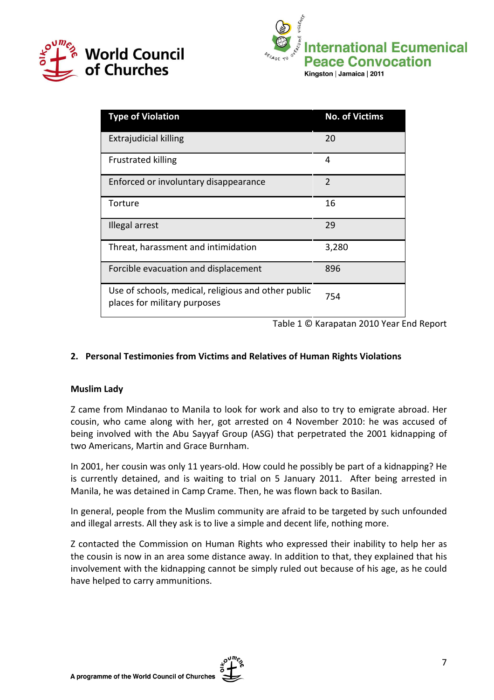



| <b>Type of Violation</b>                                                            | <b>No. of Victims</b> |
|-------------------------------------------------------------------------------------|-----------------------|
| <b>Extrajudicial killing</b>                                                        | 20                    |
| <b>Frustrated killing</b>                                                           | 4                     |
| Enforced or involuntary disappearance                                               | $\mathcal{P}$         |
| Torture                                                                             | 16                    |
| Illegal arrest                                                                      | 29                    |
| Threat, harassment and intimidation                                                 | 3,280                 |
| Forcible evacuation and displacement                                                | 896                   |
| Use of schools, medical, religious and other public<br>places for military purposes | 754                   |

Table 1 © Karapatan 2010 Year End Report

# 2. Personal Testimonies from Victims and Relatives of Human Rights Violations

### Muslim Lady

Z came from Mindanao to Manila to look for work and also to try to emigrate abroad. Her cousin, who came along with her, got arrested on 4 November 2010: he was accused of being involved with the Abu Sayyaf Group (ASG) that perpetrated the 2001 kidnapping of two Americans, Martin and Grace Burnham.

In 2001, her cousin was only 11 years-old. How could he possibly be part of a kidnapping? He is currently detained, and is waiting to trial on 5 January 2011. After being arrested in Manila, he was detained in Camp Crame. Then, he was flown back to Basilan.

In general, people from the Muslim community are afraid to be targeted by such unfounded and illegal arrests. All they ask is to live a simple and decent life, nothing more.

Z contacted the Commission on Human Rights who expressed their inability to help her as the cousin is now in an area some distance away. In addition to that, they explained that his involvement with the kidnapping cannot be simply ruled out because of his age, as he could have helped to carry ammunitions.

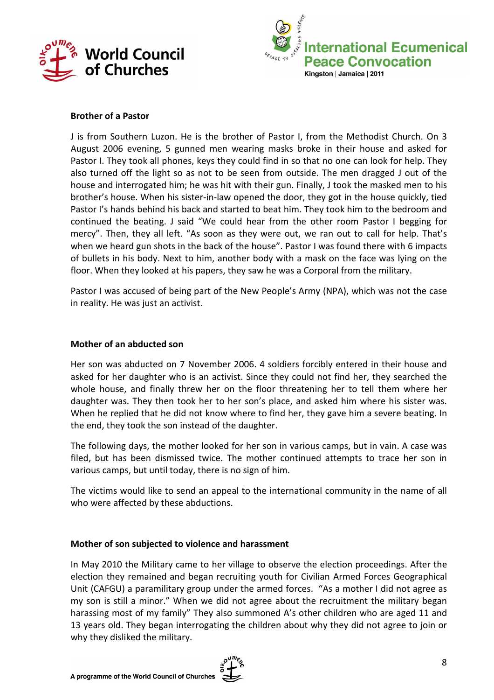



#### Brother of a Pastor

J is from Southern Luzon. He is the brother of Pastor I, from the Methodist Church. On 3 August 2006 evening, 5 gunned men wearing masks broke in their house and asked for Pastor I. They took all phones, keys they could find in so that no one can look for help. They also turned off the light so as not to be seen from outside. The men dragged J out of the house and interrogated him; he was hit with their gun. Finally, J took the masked men to his brother's house. When his sister-in-law opened the door, they got in the house quickly, tied Pastor I's hands behind his back and started to beat him. They took him to the bedroom and continued the beating. J said "We could hear from the other room Pastor I begging for mercy". Then, they all left. "As soon as they were out, we ran out to call for help. That's when we heard gun shots in the back of the house". Pastor I was found there with 6 impacts of bullets in his body. Next to him, another body with a mask on the face was lying on the floor. When they looked at his papers, they saw he was a Corporal from the military.

Pastor I was accused of being part of the New People's Army (NPA), which was not the case in reality. He was just an activist.

#### Mother of an abducted son

Her son was abducted on 7 November 2006. 4 soldiers forcibly entered in their house and asked for her daughter who is an activist. Since they could not find her, they searched the whole house, and finally threw her on the floor threatening her to tell them where her daughter was. They then took her to her son's place, and asked him where his sister was. When he replied that he did not know where to find her, they gave him a severe beating. In the end, they took the son instead of the daughter.

The following days, the mother looked for her son in various camps, but in vain. A case was filed, but has been dismissed twice. The mother continued attempts to trace her son in various camps, but until today, there is no sign of him.

The victims would like to send an appeal to the international community in the name of all who were affected by these abductions.

#### Mother of son subjected to violence and harassment

In May 2010 the Military came to her village to observe the election proceedings. After the election they remained and began recruiting youth for Civilian Armed Forces Geographical Unit (CAFGU) a paramilitary group under the armed forces. "As a mother I did not agree as my son is still a minor." When we did not agree about the recruitment the military began harassing most of my family" They also summoned A's other children who are aged 11 and 13 years old. They began interrogating the children about why they did not agree to join or why they disliked the military.

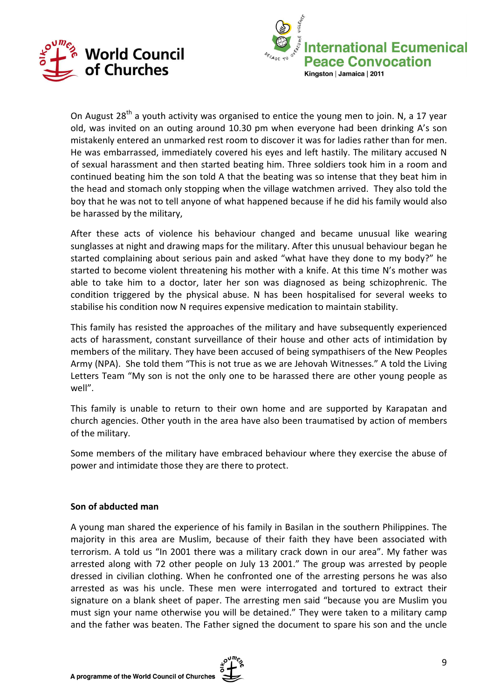



On August 28<sup>th</sup> a youth activity was organised to entice the young men to join. N, a 17 year old, was invited on an outing around 10.30 pm when everyone had been drinking A's son mistakenly entered an unmarked rest room to discover it was for ladies rather than for men. He was embarrassed, immediately covered his eyes and left hastily. The military accused N of sexual harassment and then started beating him. Three soldiers took him in a room and continued beating him the son told A that the beating was so intense that they beat him in the head and stomach only stopping when the village watchmen arrived. They also told the boy that he was not to tell anyone of what happened because if he did his family would also be harassed by the military,

After these acts of violence his behaviour changed and became unusual like wearing sunglasses at night and drawing maps for the military. After this unusual behaviour began he started complaining about serious pain and asked "what have they done to my body?" he started to become violent threatening his mother with a knife. At this time N's mother was able to take him to a doctor, later her son was diagnosed as being schizophrenic. The condition triggered by the physical abuse. N has been hospitalised for several weeks to stabilise his condition now N requires expensive medication to maintain stability.

This family has resisted the approaches of the military and have subsequently experienced acts of harassment, constant surveillance of their house and other acts of intimidation by members of the military. They have been accused of being sympathisers of the New Peoples Army (NPA). She told them "This is not true as we are Jehovah Witnesses." A told the Living Letters Team "My son is not the only one to be harassed there are other young people as well".

This family is unable to return to their own home and are supported by Karapatan and church agencies. Other youth in the area have also been traumatised by action of members of the military.

Some members of the military have embraced behaviour where they exercise the abuse of power and intimidate those they are there to protect.

#### Son of abducted man

A young man shared the experience of his family in Basilan in the southern Philippines. The majority in this area are Muslim, because of their faith they have been associated with terrorism. A told us "In 2001 there was a military crack down in our area". My father was arrested along with 72 other people on July 13 2001." The group was arrested by people dressed in civilian clothing. When he confronted one of the arresting persons he was also arrested as was his uncle. These men were interrogated and tortured to extract their signature on a blank sheet of paper. The arresting men said "because you are Muslim you must sign your name otherwise you will be detained." They were taken to a military camp and the father was beaten. The Father signed the document to spare his son and the uncle

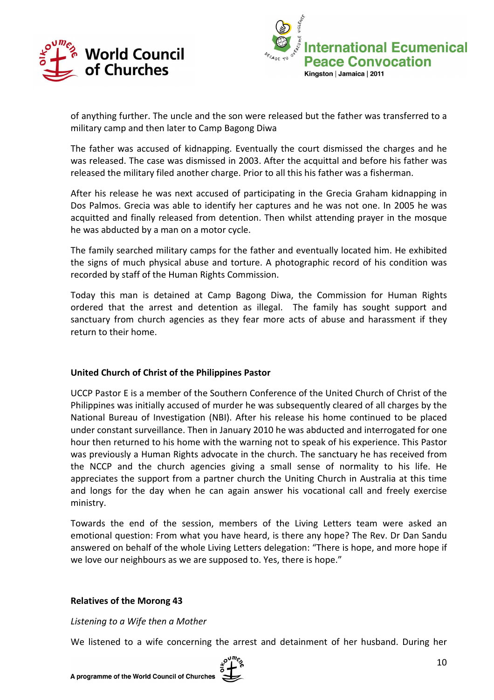



of anything further. The uncle and the son were released but the father was transferred to a military camp and then later to Camp Bagong Diwa

The father was accused of kidnapping. Eventually the court dismissed the charges and he was released. The case was dismissed in 2003. After the acquittal and before his father was released the military filed another charge. Prior to all this his father was a fisherman.

After his release he was next accused of participating in the Grecia Graham kidnapping in Dos Palmos. Grecia was able to identify her captures and he was not one. In 2005 he was acquitted and finally released from detention. Then whilst attending prayer in the mosque he was abducted by a man on a motor cycle.

The family searched military camps for the father and eventually located him. He exhibited the signs of much physical abuse and torture. A photographic record of his condition was recorded by staff of the Human Rights Commission.

Today this man is detained at Camp Bagong Diwa, the Commission for Human Rights ordered that the arrest and detention as illegal. The family has sought support and sanctuary from church agencies as they fear more acts of abuse and harassment if they return to their home.

### United Church of Christ of the Philippines Pastor

UCCP Pastor E is a member of the Southern Conference of the United Church of Christ of the Philippines was initially accused of murder he was subsequently cleared of all charges by the National Bureau of Investigation (NBI). After his release his home continued to be placed under constant surveillance. Then in January 2010 he was abducted and interrogated for one hour then returned to his home with the warning not to speak of his experience. This Pastor was previously a Human Rights advocate in the church. The sanctuary he has received from the NCCP and the church agencies giving a small sense of normality to his life. He appreciates the support from a partner church the Uniting Church in Australia at this time and longs for the day when he can again answer his vocational call and freely exercise ministry.

Towards the end of the session, members of the Living Letters team were asked an emotional question: From what you have heard, is there any hope? The Rev. Dr Dan Sandu answered on behalf of the whole Living Letters delegation: "There is hope, and more hope if we love our neighbours as we are supposed to. Yes, there is hope."

#### Relatives of the Morong 43

Listening to a Wife then a Mother

We listened to a wife concerning the arrest and detainment of her husband. During her

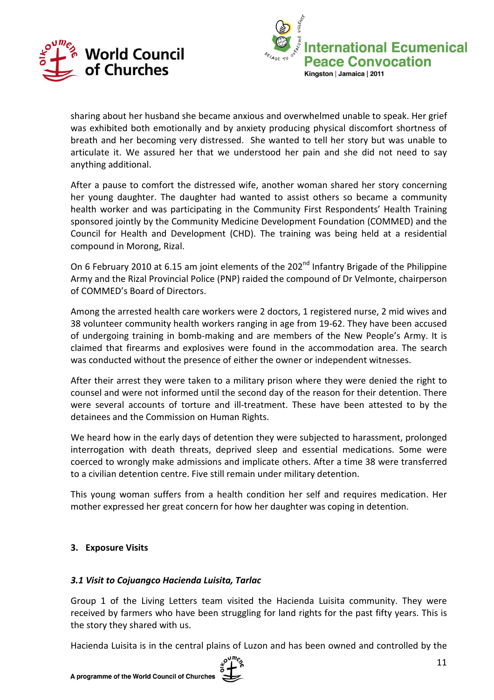



sharing about her husband she became anxious and overwhelmed unable to speak. Her grief was exhibited both emotionally and by anxiety producing physical discomfort shortness of breath and her becoming very distressed. She wanted to tell her story but was unable to articulate it. We assured her that we understood her pain and she did not need to say anything additional.

After a pause to comfort the distressed wife, another woman shared her story concerning her young daughter. The daughter had wanted to assist others so became a community health worker and was participating in the Community First Respondents' Health Training sponsored jointly by the Community Medicine Development Foundation (COMMED) and the Council for Health and Development (CHD). The training was being held at a residential compound in Morong, Rizal.

On 6 February 2010 at 6.15 am joint elements of the 202<sup>nd</sup> Infantry Brigade of the Philippine Army and the Rizal Provincial Police (PNP) raided the compound of Dr Velmonte, chairperson of COMMED's Board of Directors.

Among the arrested health care workers were 2 doctors, 1 registered nurse, 2 mid wives and 38 volunteer community health workers ranging in age from 19-62. They have been accused of undergoing training in bomb-making and are members of the New People's Army. It is claimed that firearms and explosives were found in the accommodation area. The search was conducted without the presence of either the owner or independent witnesses.

After their arrest they were taken to a military prison where they were denied the right to counsel and were not informed until the second day of the reason for their detention. There were several accounts of torture and ill-treatment. These have been attested to by the detainees and the Commission on Human Rights.

We heard how in the early days of detention they were subjected to harassment, prolonged interrogation with death threats, deprived sleep and essential medications. Some were coerced to wrongly make admissions and implicate others. After a time 38 were transferred to a civilian detention centre. Five still remain under military detention.

This young woman suffers from a health condition her self and requires medication. Her mother expressed her great concern for how her daughter was coping in detention.

### 3. Exposure Visits

### 3.1 Visit to Cojuangco Hacienda Luisita, Tarlac

Group 1 of the Living Letters team visited the Hacienda Luisita community. They were received by farmers who have been struggling for land rights for the past fifty years. This is the story they shared with us.

Hacienda Luisita is in the central plains of Luzon and has been owned and controlled by the

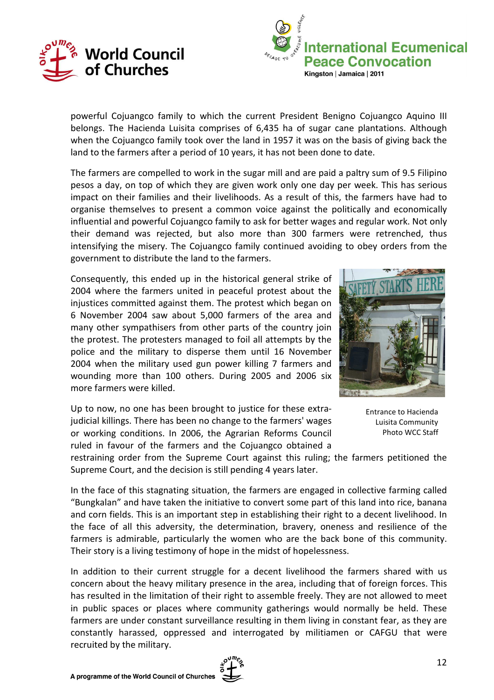



powerful Cojuangco family to which the current President Benigno Cojuangco Aquino III belongs. The Hacienda Luisita comprises of 6,435 ha of sugar cane plantations. Although when the Cojuangco family took over the land in 1957 it was on the basis of giving back the land to the farmers after a period of 10 years, it has not been done to date.

The farmers are compelled to work in the sugar mill and are paid a paltry sum of 9.5 Filipino pesos a day, on top of which they are given work only one day per week. This has serious impact on their families and their livelihoods. As a result of this, the farmers have had to organise themselves to present a common voice against the politically and economically influential and powerful Cojuangco family to ask for better wages and regular work. Not only their demand was rejected, but also more than 300 farmers were retrenched, thus intensifying the misery. The Cojuangco family continued avoiding to obey orders from the government to distribute the land to the farmers.

Consequently, this ended up in the historical general strike of 2004 where the farmers united in peaceful protest about the injustices committed against them. The protest which began on 6 November 2004 saw about 5,000 farmers of the area and many other sympathisers from other parts of the country join the protest. The protesters managed to foil all attempts by the police and the military to disperse them until 16 November 2004 when the military used gun power killing 7 farmers and wounding more than 100 others. During 2005 and 2006 six more farmers were killed.



Up to now, no one has been brought to justice for these extrajudicial killings. There has been no change to the farmers' wages or working conditions. In 2006, the Agrarian Reforms Council ruled in favour of the farmers and the Cojuangco obtained a

Entrance to Hacienda Luisita Community Photo WCC Staff

restraining order from the Supreme Court against this ruling; the farmers petitioned the Supreme Court, and the decision is still pending 4 years later.

In the face of this stagnating situation, the farmers are engaged in collective farming called "Bungkalan" and have taken the initiative to convert some part of this land into rice, banana and corn fields. This is an important step in establishing their right to a decent livelihood. In the face of all this adversity, the determination, bravery, oneness and resilience of the farmers is admirable, particularly the women who are the back bone of this community. Their story is a living testimony of hope in the midst of hopelessness.

In addition to their current struggle for a decent livelihood the farmers shared with us concern about the heavy military presence in the area, including that of foreign forces. This has resulted in the limitation of their right to assemble freely. They are not allowed to meet in public spaces or places where community gatherings would normally be held. These farmers are under constant surveillance resulting in them living in constant fear, as they are constantly harassed, oppressed and interrogated by militiamen or CAFGU that were recruited by the military.

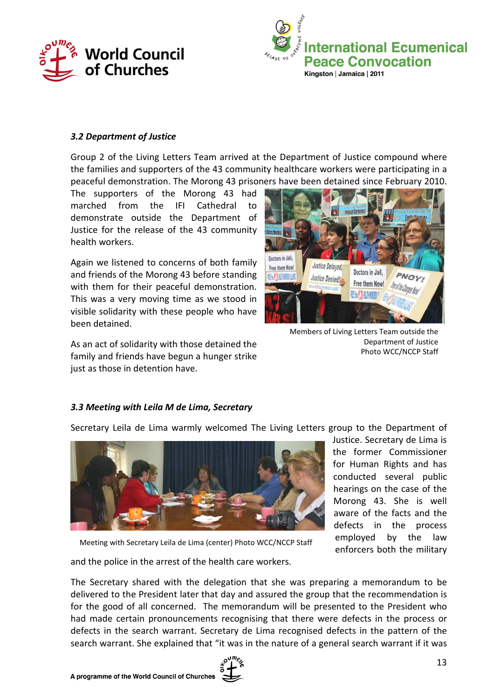



#### 3.2 Department of Justice

Group 2 of the Living Letters Team arrived at the Department of Justice compound where the families and supporters of the 43 community healthcare workers were participating in a peaceful demonstration. The Morong 43 prisoners have been detained since February 2010.

The supporters of the Morong 43 had marched from the IFI Cathedral to demonstrate outside the Department of Justice for the release of the 43 community health workers.

Again we listened to concerns of both family and friends of the Morong 43 before standing with them for their peaceful demonstration. This was a very moving time as we stood in visible solidarity with these people who have been detained.

As an act of solidarity with those detained the family and friends have begun a hunger strike just as those in detention have.



Members of Living Letters Team outside the Department of Justice Photo WCC/NCCP Staff

### 3.3 Meeting with Leila M de Lima, Secretary

Secretary Leila de Lima warmly welcomed The Living Letters group to the Department of



Justice. Secretary de Lima is the former Commissioner for Human Rights and has conducted several public hearings on the case of the Morong 43. She is well aware of the facts and the defects in the process employed by the law enforcers both the military

Meeting with Secretary Leila de Lima (center) Photo WCC/NCCP Staff

and the police in the arrest of the health care workers.

The Secretary shared with the delegation that she was preparing a memorandum to be delivered to the President later that day and assured the group that the recommendation is for the good of all concerned. The memorandum will be presented to the President who had made certain pronouncements recognising that there were defects in the process or defects in the search warrant. Secretary de Lima recognised defects in the pattern of the search warrant. She explained that "it was in the nature of a general search warrant if it was

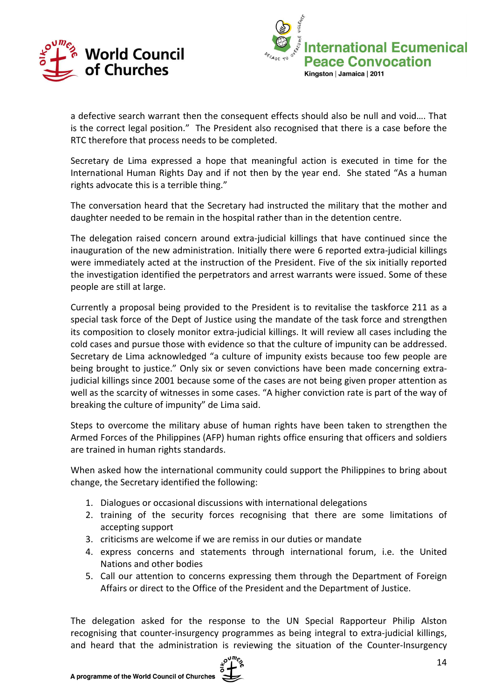



a defective search warrant then the consequent effects should also be null and void…. That is the correct legal position." The President also recognised that there is a case before the RTC therefore that process needs to be completed.

Secretary de Lima expressed a hope that meaningful action is executed in time for the International Human Rights Day and if not then by the year end. She stated "As a human rights advocate this is a terrible thing."

The conversation heard that the Secretary had instructed the military that the mother and daughter needed to be remain in the hospital rather than in the detention centre.

The delegation raised concern around extra-judicial killings that have continued since the inauguration of the new administration. Initially there were 6 reported extra-judicial killings were immediately acted at the instruction of the President. Five of the six initially reported the investigation identified the perpetrators and arrest warrants were issued. Some of these people are still at large.

Currently a proposal being provided to the President is to revitalise the taskforce 211 as a special task force of the Dept of Justice using the mandate of the task force and strengthen its composition to closely monitor extra-judicial killings. It will review all cases including the cold cases and pursue those with evidence so that the culture of impunity can be addressed. Secretary de Lima acknowledged "a culture of impunity exists because too few people are being brought to justice." Only six or seven convictions have been made concerning extrajudicial killings since 2001 because some of the cases are not being given proper attention as well as the scarcity of witnesses in some cases. "A higher conviction rate is part of the way of breaking the culture of impunity" de Lima said.

Steps to overcome the military abuse of human rights have been taken to strengthen the Armed Forces of the Philippines (AFP) human rights office ensuring that officers and soldiers are trained in human rights standards.

When asked how the international community could support the Philippines to bring about change, the Secretary identified the following:

- 1. Dialogues or occasional discussions with international delegations
- 2. training of the security forces recognising that there are some limitations of accepting support
- 3. criticisms are welcome if we are remiss in our duties or mandate
- 4. express concerns and statements through international forum, i.e. the United Nations and other bodies
- 5. Call our attention to concerns expressing them through the Department of Foreign Affairs or direct to the Office of the President and the Department of Justice.

The delegation asked for the response to the UN Special Rapporteur Philip Alston recognising that counter-insurgency programmes as being integral to extra-judicial killings, and heard that the administration is reviewing the situation of the Counter-Insurgency

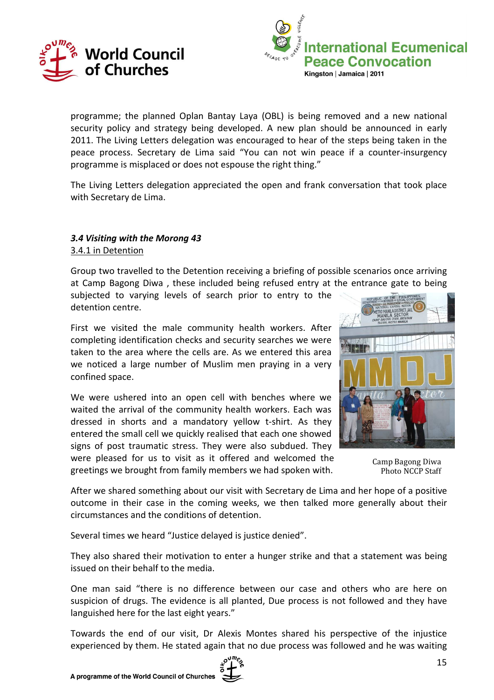



programme; the planned Oplan Bantay Laya (OBL) is being removed and a new national security policy and strategy being developed. A new plan should be announced in early 2011. The Living Letters delegation was encouraged to hear of the steps being taken in the peace process. Secretary de Lima said "You can not win peace if a counter-insurgency programme is misplaced or does not espouse the right thing."

The Living Letters delegation appreciated the open and frank conversation that took place with Secretary de Lima.

### 3.4 Visiting with the Morong 43 3.4.1 in Detention

Group two travelled to the Detention receiving a briefing of possible scenarios once arriving at Camp Bagong Diwa , these included being refused entry at the entrance gate to being

subjected to varying levels of search prior to entry to the detention centre.

First we visited the male community health workers. After completing identification checks and security searches we were taken to the area where the cells are. As we entered this area we noticed a large number of Muslim men praying in a very confined space.

We were ushered into an open cell with benches where we waited the arrival of the community health workers. Each was dressed in shorts and a mandatory yellow t-shirt. As they entered the small cell we quickly realised that each one showed signs of post traumatic stress. They were also subdued. They were pleased for us to visit as it offered and welcomed the

greetings we brought from family members we had spoken with.



Camp Bagong Diwa Photo NCCP Staff

After we shared something about our visit with Secretary de Lima and her hope of a positive outcome in their case in the coming weeks, we then talked more generally about their circumstances and the conditions of detention.

Several times we heard "Justice delayed is justice denied".

They also shared their motivation to enter a hunger strike and that a statement was being issued on their behalf to the media.

One man said "there is no difference between our case and others who are here on suspicion of drugs. The evidence is all planted, Due process is not followed and they have languished here for the last eight years."

Towards the end of our visit, Dr Alexis Montes shared his perspective of the injustice experienced by them. He stated again that no due process was followed and he was waiting

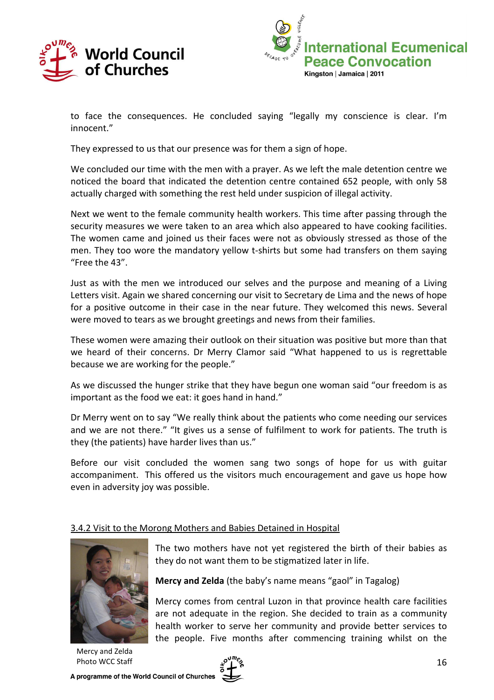



to face the consequences. He concluded saying "legally my conscience is clear. I'm innocent."

They expressed to us that our presence was for them a sign of hope.

We concluded our time with the men with a prayer. As we left the male detention centre we noticed the board that indicated the detention centre contained 652 people, with only 58 actually charged with something the rest held under suspicion of illegal activity.

Next we went to the female community health workers. This time after passing through the security measures we were taken to an area which also appeared to have cooking facilities. The women came and joined us their faces were not as obviously stressed as those of the men. They too wore the mandatory yellow t-shirts but some had transfers on them saying "Free the 43".

Just as with the men we introduced our selves and the purpose and meaning of a Living Letters visit. Again we shared concerning our visit to Secretary de Lima and the news of hope for a positive outcome in their case in the near future. They welcomed this news. Several were moved to tears as we brought greetings and news from their families.

These women were amazing their outlook on their situation was positive but more than that we heard of their concerns. Dr Merry Clamor said "What happened to us is regrettable because we are working for the people."

As we discussed the hunger strike that they have begun one woman said "our freedom is as important as the food we eat: it goes hand in hand."

Dr Merry went on to say "We really think about the patients who come needing our services and we are not there." "It gives us a sense of fulfilment to work for patients. The truth is they (the patients) have harder lives than us."

Before our visit concluded the women sang two songs of hope for us with guitar accompaniment. This offered us the visitors much encouragement and gave us hope how even in adversity joy was possible.

### 3.4.2 Visit to the Morong Mothers and Babies Detained in Hospital



The two mothers have not yet registered the birth of their babies as they do not want them to be stigmatized later in life.

Mercy and Zelda (the baby's name means "gaol" in Tagalog)

Mercy comes from central Luzon in that province health care facilities are not adequate in the region. She decided to train as a community health worker to serve her community and provide better services to the people. Five months after commencing training whilst on the

Mercy and Zelda Photo WCC Staff

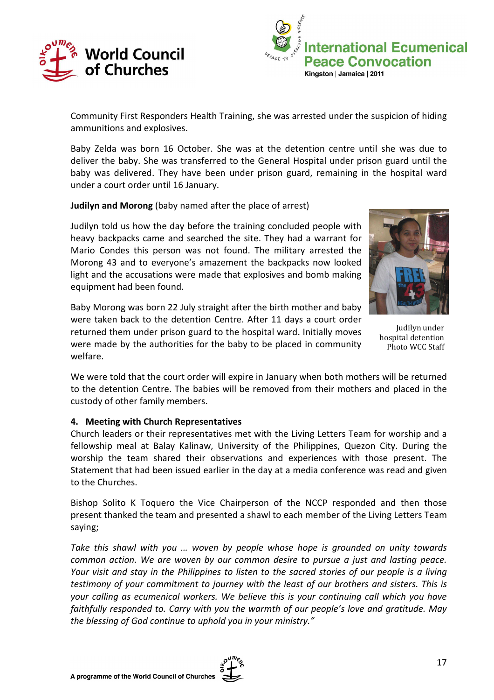



Community First Responders Health Training, she was arrested under the suspicion of hiding ammunitions and explosives.

Baby Zelda was born 16 October. She was at the detention centre until she was due to deliver the baby. She was transferred to the General Hospital under prison guard until the baby was delivered. They have been under prison guard, remaining in the hospital ward under a court order until 16 January.

Judilyn and Morong (baby named after the place of arrest)

Judilyn told us how the day before the training concluded people with heavy backpacks came and searched the site. They had a warrant for Mario Condes this person was not found. The military arrested the Morong 43 and to everyone's amazement the backpacks now looked light and the accusations were made that explosives and bomb making equipment had been found.



were taken back to the detention Centre. After 11 days a court order returned them under prison guard to the hospital ward. Initially moves



hospital detention Photo WCC Staff

We were told that the court order will expire in January when both mothers will be returned to the detention Centre. The babies will be removed from their mothers and placed in the custody of other family members.

#### 4. Meeting with Church Representatives

Church leaders or their representatives met with the Living Letters Team for worship and a fellowship meal at Balay Kalinaw, University of the Philippines, Quezon City. During the worship the team shared their observations and experiences with those present. The Statement that had been issued earlier in the day at a media conference was read and given to the Churches.

Bishop Solito K Toquero the Vice Chairperson of the NCCP responded and then those present thanked the team and presented a shawl to each member of the Living Letters Team saying;

Take this shawl with you … woven by people whose hope is grounded on unity towards common action. We are woven by our common desire to pursue a just and lasting peace. Your visit and stay in the Philippines to listen to the sacred stories of our people is a living testimony of your commitment to journey with the least of our brothers and sisters. This is your calling as ecumenical workers. We believe this is your continuing call which you have faithfully responded to. Carry with you the warmth of our people's love and gratitude. May the blessing of God continue to uphold you in your ministry."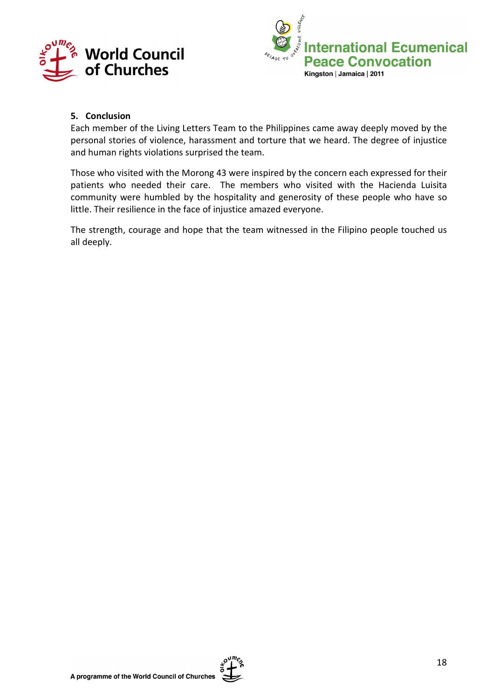



### 5. Conclusion

Each member of the Living Letters Team to the Philippines came away deeply moved by the personal stories of violence, harassment and torture that we heard. The degree of injustice and human rights violations surprised the team.

Those who visited with the Morong 43 were inspired by the concern each expressed for their patients who needed their care. The members who visited with the Hacienda Luisita community were humbled by the hospitality and generosity of these people who have so little. Their resilience in the face of injustice amazed everyone.

The strength, courage and hope that the team witnessed in the Filipino people touched us all deeply.

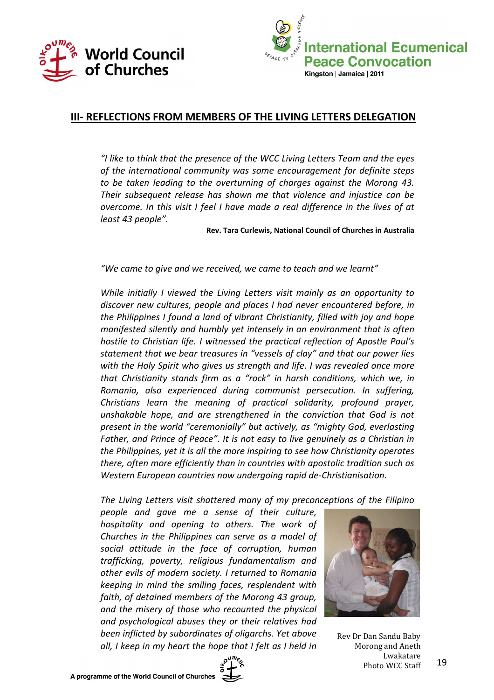



# III- REFLECTIONS FROM MEMBERS OF THE LIVING LETTERS DELEGATION

"I like to think that the presence of the WCC Living Letters Team and the eyes of the international community was some encouragement for definite steps to be taken leading to the overturning of charges against the Morong 43. Their subsequent release has shown me that violence and injustice can be overcome. In this visit I feel I have made a real difference in the lives of at least 43 people".

Rev. Tara Curlewis, National Council of Churches in Australia

"We came to give and we received, we came to teach and we learnt"

While initially I viewed the Living Letters visit mainly as an opportunity to discover new cultures, people and places I had never encountered before, in the Philippines I found a land of vibrant Christianity, filled with joy and hope manifested silently and humbly yet intensely in an environment that is often hostile to Christian life. I witnessed the practical reflection of Apostle Paul's statement that we bear treasures in "vessels of clay" and that our power lies with the Holy Spirit who gives us strength and life. I was revealed once more that Christianity stands firm as a "rock" in harsh conditions, which we, in Romania, also experienced during communist persecution. In suffering, Christians learn the meaning of practical solidarity, profound prayer, unshakable hope, and are strengthened in the conviction that God is not present in the world "ceremonially" but actively, as "mighty God, everlasting Father, and Prince of Peace". It is not easy to live genuinely as a Christian in the Philippines, yet it is all the more inspiring to see how Christianity operates there, often more efficiently than in countries with apostolic tradition such as Western European countries now undergoing rapid de-Christianisation.

The Living Letters visit shattered many of my preconceptions of the Filipino

people and gave me a sense of their culture, hospitality and opening to others. The work of Churches in the Philippines can serve as a model of social attitude in the face of corruption, human trafficking, poverty, religious fundamentalism and other evils of modern society. I returned to Romania keeping in mind the smiling faces, resplendent with faith, of detained members of the Morong 43 group, and the misery of those who recounted the physical and psychological abuses they or their relatives had been inflicted by subordinates of oligarchs. Yet above all, I keep in my heart the hope that I felt as I held in



Rev Dr Dan Sandu Baby Morong and Aneth Lwakatare Photo WCC Staff

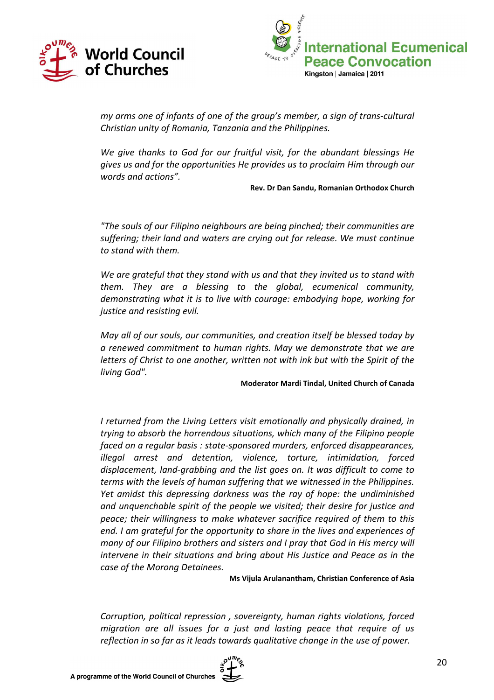



my arms one of infants of one of the group's member, a sign of trans-cultural Christian unity of Romania, Tanzania and the Philippines.

We give thanks to God for our fruitful visit, for the abundant blessings He gives us and for the opportunities He provides us to proclaim Him through our words and actions".

Rev. Dr Dan Sandu, Romanian Orthodox Church

"The souls of our Filipino neighbours are being pinched; their communities are suffering; their land and waters are crying out for release. We must continue to stand with them.

We are grateful that they stand with us and that they invited us to stand with them. They are a blessing to the global, ecumenical community, demonstrating what it is to live with courage: embodying hope, working for justice and resisting evil.

May all of our souls, our communities, and creation itself be blessed today by a renewed commitment to human rights. May we demonstrate that we are letters of Christ to one another, written not with ink but with the Spirit of the living God".

#### Moderator Mardi Tindal, United Church of Canada

I returned from the Living Letters visit emotionally and physically drained, in trying to absorb the horrendous situations, which many of the Filipino people faced on a regular basis : state-sponsored murders, enforced disappearances, illegal arrest and detention, violence, torture, intimidation, forced displacement, land-grabbing and the list goes on. It was difficult to come to terms with the levels of human suffering that we witnessed in the Philippines. Yet amidst this depressing darkness was the ray of hope: the undiminished and unquenchable spirit of the people we visited; their desire for justice and peace; their willingness to make whatever sacrifice required of them to this end. I am grateful for the opportunity to share in the lives and experiences of many of our Filipino brothers and sisters and I pray that God in His mercy will intervene in their situations and bring about His Justice and Peace as in the case of the Morong Detainees.

Ms Vijula Arulanantham, Christian Conference of Asia

Corruption, political repression , sovereignty, human rights violations, forced migration are all issues for a just and lasting peace that require of us reflection in so far as it leads towards qualitative change in the use of power.

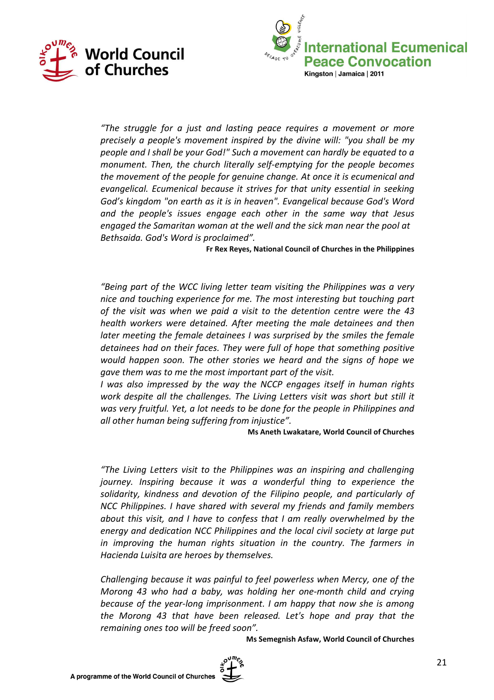



"The struggle for a just and lasting peace requires a movement or more precisely a people's movement inspired by the divine will: "you shall be my people and I shall be your God!" Such a movement can hardly be equated to a monument. Then, the church literally self-emptying for the people becomes the movement of the people for genuine change. At once it is ecumenical and evangelical. Ecumenical because it strives for that unity essential in seeking God's kingdom "on earth as it is in heaven". Evangelical because God's Word and the people's issues engage each other in the same way that Jesus engaged the Samaritan woman at the well and the sick man near the pool at Bethsaida. God's Word is proclaimed".

Fr Rex Reyes, National Council of Churches in the Philippines

"Being part of the WCC living letter team visiting the Philippines was a very nice and touching experience for me. The most interesting but touching part of the visit was when we paid a visit to the detention centre were the 43 health workers were detained. After meeting the male detainees and then later meeting the female detainees I was surprised by the smiles the female detainees had on their faces. They were full of hope that something positive would happen soon. The other stories we heard and the signs of hope we gave them was to me the most important part of the visit.

I was also impressed by the way the NCCP engages itself in human rights work despite all the challenges. The Living Letters visit was short but still it was very fruitful. Yet, a lot needs to be done for the people in Philippines and all other human being suffering from injustice".

Ms Aneth Lwakatare, World Council of Churches

"The Living Letters visit to the Philippines was an inspiring and challenging journey. Inspiring because it was a wonderful thing to experience the solidarity, kindness and devotion of the Filipino people, and particularly of NCC Philippines. I have shared with several my friends and family members about this visit, and I have to confess that I am really overwhelmed by the energy and dedication NCC Philippines and the local civil society at large put in improving the human rights situation in the country. The farmers in Hacienda Luisita are heroes by themselves.

Challenging because it was painful to feel powerless when Mercy, one of the Morong 43 who had a baby, was holding her one-month child and crying because of the year-long imprisonment. I am happy that now she is among the Morong 43 that have been released. Let's hope and pray that the remaining ones too will be freed soon".

Ms Semegnish Asfaw, World Council of Churches

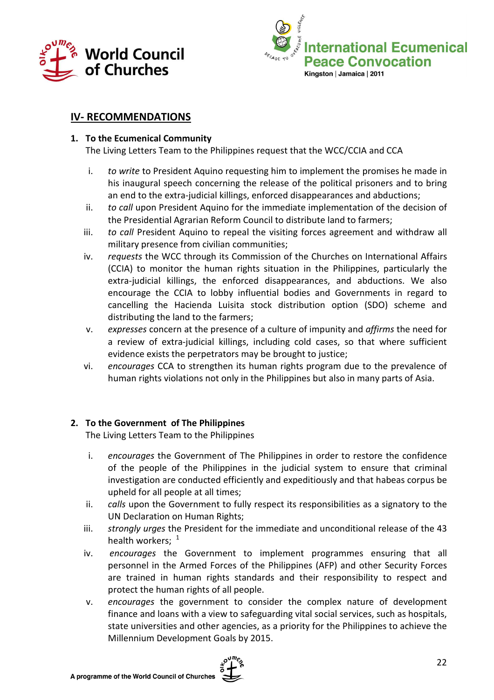



# IV- RECOMMENDATIONS

### 1. To the Ecumenical Community

The Living Letters Team to the Philippines request that the WCC/CCIA and CCA

- i. to write to President Aquino requesting him to implement the promises he made in his inaugural speech concerning the release of the political prisoners and to bring an end to the extra-judicial killings, enforced disappearances and abductions;
- ii. to call upon President Aquino for the immediate implementation of the decision of the Presidential Agrarian Reform Council to distribute land to farmers;
- iii. to call President Aquino to repeal the visiting forces agreement and withdraw all military presence from civilian communities;
- iv. requests the WCC through its Commission of the Churches on International Affairs (CCIA) to monitor the human rights situation in the Philippines, particularly the extra-judicial killings, the enforced disappearances, and abductions. We also encourage the CCIA to lobby influential bodies and Governments in regard to cancelling the Hacienda Luisita stock distribution option (SDO) scheme and distributing the land to the farmers;
- v. expresses concern at the presence of a culture of impunity and affirms the need for a review of extra-judicial killings, including cold cases, so that where sufficient evidence exists the perpetrators may be brought to justice;
- vi. encourages CCA to strengthen its human rights program due to the prevalence of human rights violations not only in the Philippines but also in many parts of Asia.

### 2. To the Government of The Philippines

The Living Letters Team to the Philippines

- i. encourages the Government of The Philippines in order to restore the confidence of the people of the Philippines in the judicial system to ensure that criminal investigation are conducted efficiently and expeditiously and that habeas corpus be upheld for all people at all times;
- ii. calls upon the Government to fully respect its responsibilities as a signatory to the UN Declaration on Human Rights;
- iii. strongly urges the President for the immediate and unconditional release of the 43 health workers;  $1$
- iv. encourages the Government to implement programmes ensuring that all personnel in the Armed Forces of the Philippines (AFP) and other Security Forces are trained in human rights standards and their responsibility to respect and protect the human rights of all people.
- v. encourages the government to consider the complex nature of development finance and loans with a view to safeguarding vital social services, such as hospitals, state universities and other agencies, as a priority for the Philippines to achieve the Millennium Development Goals by 2015.

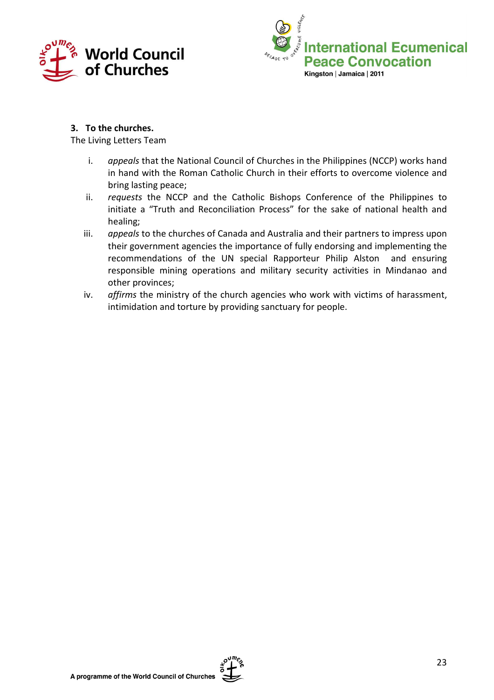



### 3. To the churches.

The Living Letters Team

- i. appeals that the National Council of Churches in the Philippines (NCCP) works hand in hand with the Roman Catholic Church in their efforts to overcome violence and bring lasting peace;
- ii. requests the NCCP and the Catholic Bishops Conference of the Philippines to initiate a "Truth and Reconciliation Process" for the sake of national health and healing;
- iii. appeals to the churches of Canada and Australia and their partners to impress upon their government agencies the importance of fully endorsing and implementing the recommendations of the UN special Rapporteur Philip Alston and ensuring responsible mining operations and military security activities in Mindanao and other provinces;
- iv. affirms the ministry of the church agencies who work with victims of harassment, intimidation and torture by providing sanctuary for people.

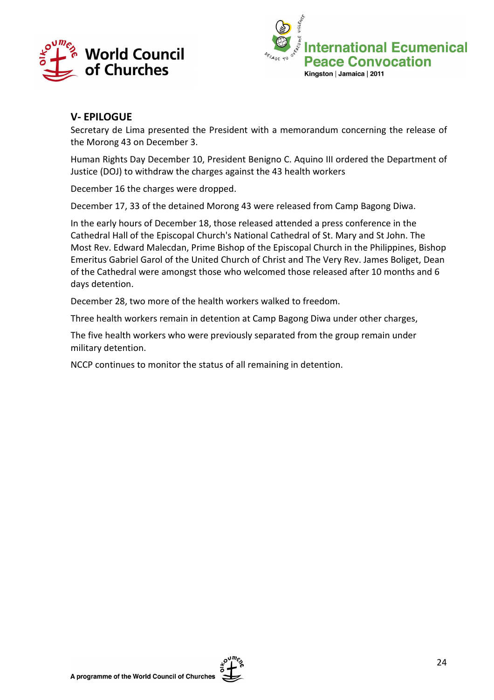



# V- EPILOGUE

Secretary de Lima presented the President with a memorandum concerning the release of the Morong 43 on December 3.

Human Rights Day December 10, President Benigno C. Aquino III ordered the Department of Justice (DOJ) to withdraw the charges against the 43 health workers

December 16 the charges were dropped.

December 17, 33 of the detained Morong 43 were released from Camp Bagong Diwa.

In the early hours of December 18, those released attended a press conference in the Cathedral Hall of the Episcopal Church's National Cathedral of St. Mary and St John. The Most Rev. Edward Malecdan, Prime Bishop of the Episcopal Church in the Philippines, Bishop Emeritus Gabriel Garol of the United Church of Christ and The Very Rev. James Boliget, Dean of the Cathedral were amongst those who welcomed those released after 10 months and 6 days detention.

December 28, two more of the health workers walked to freedom.

Three health workers remain in detention at Camp Bagong Diwa under other charges,

The five health workers who were previously separated from the group remain under military detention.

NCCP continues to monitor the status of all remaining in detention.